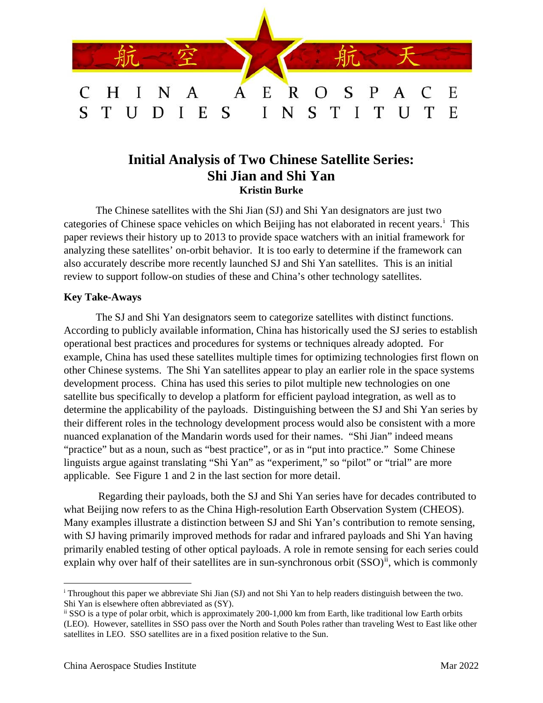

# **Initial Analysis of Two Chinese Satellite Series: Shi Jian and Shi Yan Kristin Burke**

The Chinese satellites with the Shi Jian (SJ) and Shi Yan designators are just two categor[i](#page-0-0)es of Chinese space vehicles on which Beijing has not elaborated in recent years.<sup>i</sup> This paper reviews their history up to 2013 to provide space watchers with an initial framework for analyzing these satellites' on-orbit behavior. It is too early to determine if the framework can also accurately describe more recently launched SJ and Shi Yan satellites. This is an initial review to support follow-on studies of these and China's other technology satellites.

### **Key Take-Aways**

The SJ and Shi Yan designators seem to categorize satellites with distinct functions. According to publicly available information, China has historically used the SJ series to establish operational best practices and procedures for systems or techniques already adopted. For example, China has used these satellites multiple times for optimizing technologies first flown on other Chinese systems. The Shi Yan satellites appear to play an earlier role in the space systems development process. China has used this series to pilot multiple new technologies on one satellite bus specifically to develop a platform for efficient payload integration, as well as to determine the applicability of the payloads. Distinguishing between the SJ and Shi Yan series by their different roles in the technology development process would also be consistent with a more nuanced explanation of the Mandarin words used for their names. "Shi Jian" indeed means "practice" but as a noun, such as "best practice", or as in "put into practice." Some Chinese linguists argue against translating "Shi Yan" as "experiment," so "pilot" or "trial" are more applicable. See Figure 1 and 2 in the last section for more detail.

Regarding their payloads, both the SJ and Shi Yan series have for decades contributed to what Beijing now refers to as the China High-resolution Earth Observation System (CHEOS). Many examples illustrate a distinction between SJ and Shi Yan's contribution to remote sensing, with SJ having primarily improved methods for radar and infrared payloads and Shi Yan having primarily enabled testing of other optical payloads. A role in remote sensing for each series could explain why over half of their satellites are in sun-synchronous orbit  $(SSO)^{ii}$  $(SSO)^{ii}$  $(SSO)^{ii}$ , which is commonly

<span id="page-0-0"></span><sup>i</sup> Throughout this paper we abbreviate Shi Jian (SJ) and not Shi Yan to help readers distinguish between the two. Shi Yan is elsewhere often abbreviated as (SY).

<span id="page-0-1"></span>ii SSO is a type of polar orbit, which is approximately 200-1,000 km from Earth, like traditional low Earth orbits (LEO). However, satellites in SSO pass over the North and South Poles rather than traveling West to East like other satellites in LEO. SSO satellites are in a fixed position relative to the Sun.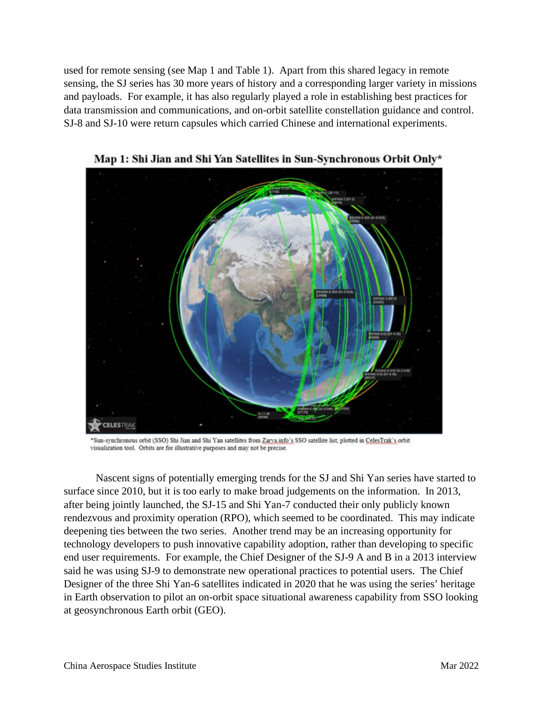used for remote sensing (see Map 1 and Table 1). Apart from this shared legacy in remote sensing, the SJ series has 30 more years of history and a corresponding larger variety in missions and payloads. For example, it has also regularly played a role in establishing best practices for data transmission and communications, and on-orbit satellite constellation guidance and control. SJ-8 and SJ-10 were return capsules which carried Chinese and international experiments.



Map 1: Shi Jian and Shi Yan Satellites in Sun-Synchronous Orbit Only\*

Sun-synchronous orbit (SSO) Shi Jian and Shi Yan satellites from Zarva info's SSO satellite list, plotted in CelesTrak's orbit visualization tool. Orbits are for illustrative purposes and may not be precise.

Nascent signs of potentially emerging trends for the SJ and Shi Yan series have started to surface since 2010, but it is too early to make broad judgements on the information. In 2013, after being jointly launched, the SJ-15 and Shi Yan-7 conducted their only publicly known rendezvous and proximity operation (RPO), which seemed to be coordinated. This may indicate deepening ties between the two series. Another trend may be an increasing opportunity for technology developers to push innovative capability adoption, rather than developing to specific end user requirements. For example, the Chief Designer of the SJ-9 A and B in a 2013 interview said he was using SJ-9 to demonstrate new operational practices to potential users. The Chief Designer of the three Shi Yan-6 satellites indicated in 2020 that he was using the series' heritage in Earth observation to pilot an on-orbit space situational awareness capability from SSO looking at geosynchronous Earth orbit (GEO).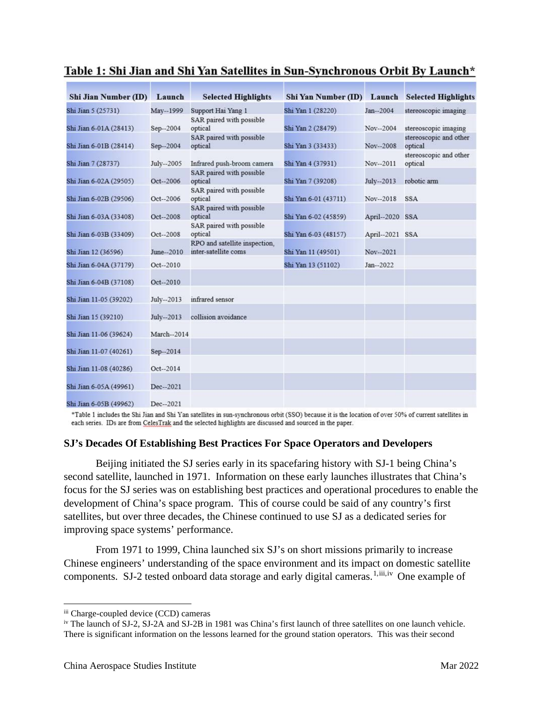| <b>Shi Jian Number (ID)</b> | Launch     | <b>Selected Highlights</b>                            | Shi Yan Number (ID) Launch Selected Highlights |                 |                                   |
|-----------------------------|------------|-------------------------------------------------------|------------------------------------------------|-----------------|-----------------------------------|
| Shi Jian 5 (25731)          | May--1999  | Support Hai Yang 1                                    | Shi Yan 1 (28220)                              | Jan--2004       | stereoscopic imaging              |
| Shi Jian 6-01A (28413)      | Sep--2004  | SAR paired with possible<br>optical                   | Shi Yan 2 (28479)                              | Nov--2004       | stereoscopic imaging              |
| Shi Jian 6-01B (28414)      | Sep-2004   | SAR paired with possible<br>optical                   | Shi Yan 3 (33433)                              | Nov--2008       | stereoscopic and other<br>optical |
| Shi Jian 7 (28737)          | July--2005 | Infrared push-broom camera                            | Shi Yan 4 (37931)                              | Nov--2011       | stereoscopic and other<br>optical |
| Shi Jian 6-02A (29505)      | Oct--2006  | SAR paired with possible<br>optical                   | Shi Yan 7 (39208)                              | July--2013      | robotic arm                       |
| Shi Jian 6-02B (29506)      | Oct--2006  | SAR paired with possible<br>optical                   | Shi Yan 6-01 (43711)                           | Nov--2018       | <b>SSA</b>                        |
| Shi Jian 6-03A (33408)      | Oct--2008  | SAR paired with possible<br>optical                   | Shi Yan 6-02 (45859)                           | April--2020 SSA |                                   |
| Shi Jian 6-03B (33409)      | Oct--2008  | SAR paired with possible<br>optical                   | Shi Yan 6-03 (48157)                           | April--2021 SSA |                                   |
| Shi Jian 12 (36596)         | June-2010  | RPO and satellite inspection.<br>inter-satellite coms | Shi Yan 11 (49501)                             | Nov-2021        |                                   |
| Shi Jian 6-04A (37179)      | Oct--2010  |                                                       | Shi Yan 13 (51102)                             | Jan--2022       |                                   |
| Shi Jian 6-04B (37108)      | Oct--2010  |                                                       |                                                |                 |                                   |
| Shi Jian 11-05 (39202)      | July--2013 | infrared sensor                                       |                                                |                 |                                   |
| Shi Jian 15 (39210)         | July--2013 | collision avoidance                                   |                                                |                 |                                   |
| Shi Jian 11-06 (39624)      | March-2014 |                                                       |                                                |                 |                                   |
| Shi Jian 11-07 (40261)      | Sep-2014   |                                                       |                                                |                 |                                   |
| Shi Jian 11-08 (40286)      | Oct--2014  |                                                       |                                                |                 |                                   |
| Shi Jian 6-05A (49961)      | Dec--2021  |                                                       |                                                |                 |                                   |
| Shi Jian 6-05B (49962)      | Dec-2021   |                                                       |                                                |                 |                                   |

## Table 1: Shi Jian and Shi Yan Satellites in Sun-Synchronous Orbit By Launch\*

\*Table 1 includes the Shi Jian and Shi Yan satellites in sun-synchronous orbit (SSO) because it is the location of over 50% of current satellites in each series. IDs are from CelesTrak and the selected highlights are discussed and sourced in the paper.

### **SJ's Decades Of Establishing Best Practices For Space Operators and Developers**

Beijing initiated the SJ series early in its spacefaring history with SJ-1 being China's second satellite, launched in 1971. Information on these early launches illustrates that China's focus for the SJ series was on establishing best practices and operational procedures to enable the development of China's space program. This of course could be said of any country's first satellites, but over three decades, the Chinese continued to use SJ as a dedicated series for improving space systems' performance.

From 1971 to 1999, China launched six SJ's on short missions primarily to increase Chinese engineers' understanding of the space environment and its impact on domestic satellite components. SJ-2 tested onboard data storage and early digital cameras.<sup>[1](#page-8-0),[iii](#page-2-0),[iv](#page-2-1)</sup> One example of

<span id="page-2-0"></span>iii Charge-coupled device (CCD) cameras

<span id="page-2-1"></span>iv The launch of SJ-2, SJ-2A and SJ-2B in 1981 was China's first launch of three satellites on one launch vehicle. There is significant information on the lessons learned for the ground station operators. This was their second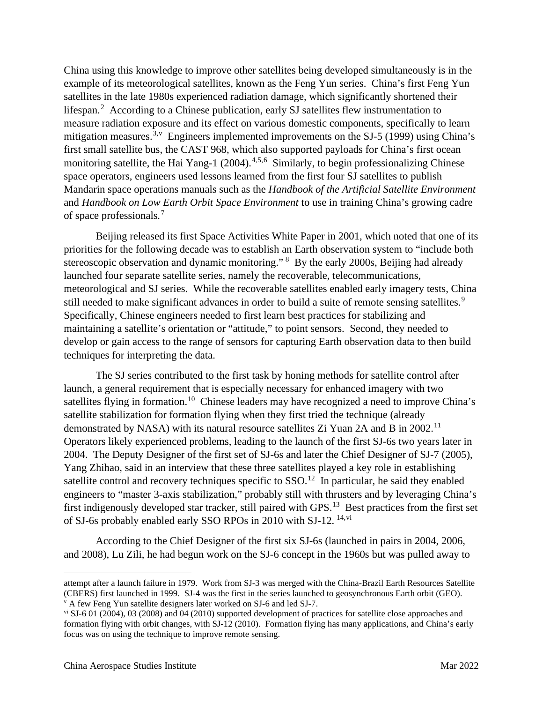China using this knowledge to improve other satellites being developed simultaneously is in the example of its meteorological satellites, known as the Feng Yun series. China's first Feng Yun satellites in the late 1980s experienced radiation damage, which significantly shortened their lifespan.<sup>[2](#page-9-0)</sup> According to a Chinese publication, early SJ satellites flew instrumentation to measure radiation exposure and its effect on various domestic components, specifically to learn mitigation measures.<sup>[3](#page-9-1),[v](#page-3-0)</sup> Engineers implemented improvements on the SJ-5 (1999) using China's first small satellite bus, the CAST 968, which also supported payloads for China's first ocean monitoring satellite, the Hai Yang-1 (200[4](#page-9-2)).<sup>4,[5,](#page-9-3)[6](#page-9-4)</sup> Similarly, to begin professionalizing Chinese space operators, engineers used lessons learned from the first four SJ satellites to publish Mandarin space operations manuals such as the *Handbook of the Artificial Satellite Environment* and *Handbook on Low Earth Orbit Space Environment* to use in training China's growing cadre of space professionals*.* [7](#page-9-5)

Beijing released its first Space Activities White Paper in 2001, which noted that one of its priorities for the following decade was to establish an Earth observation system to "include both stereoscopic observation and dynamic monitoring." <sup>[8](#page-9-6)</sup> By the early 2000s, Beijing had already launched four separate satellite series, namely the recoverable, telecommunications, meteorological and SJ series. While the recoverable satellites enabled early imagery tests, China still needed to make significant advances in order to build a suite of remote sensing satellites.<sup>[9](#page-9-7)</sup> Specifically, Chinese engineers needed to first learn best practices for stabilizing and maintaining a satellite's orientation or "attitude," to point sensors. Second, they needed to develop or gain access to the range of sensors for capturing Earth observation data to then build techniques for interpreting the data.

The SJ series contributed to the first task by honing methods for satellite control after launch, a general requirement that is especially necessary for enhanced imagery with two satellites flying in formation.<sup>10</sup> Chinese leaders may have recognized a need to improve China's satellite stabilization for formation flying when they first tried the technique (already demonstrated by NASA) with its natural resource satellites Zi Yuan 2A and B in 2002.<sup>11</sup> Operators likely experienced problems, leading to the launch of the first SJ-6s two years later in 2004. The Deputy Designer of the first set of SJ-6s and later the Chief Designer of SJ-7 (2005), Yang Zhihao, said in an interview that these three satellites played a key role in establishing satellite control and recovery techniques specific to  $SSO<sup>12</sup>$  $SSO<sup>12</sup>$  $SSO<sup>12</sup>$  In particular, he said they enabled engineers to "master 3-axis stabilization," probably still with thrusters and by leveraging China's first indigenously developed star tracker, still paired with GPS.[13](#page-9-11) Best practices from the first set of SJ-6s probably enabled early SSO RPOs in 2010 with SJ-12. [14,](#page-9-12)[vi](#page-3-1)

According to the Chief Designer of the first six SJ-6s (launched in pairs in 2004, 2006, and 2008), Lu Zili, he had begun work on the SJ-6 concept in the 1960s but was pulled away to

attempt after a launch failure in 1979. Work from SJ-3 was merged with the China-Brazil Earth Resources Satellite (CBERS) first launched in 1999. SJ-4 was the first in the series launched to geosynchronous Earth orbit (GEO). <sup>v</sup> A few Feng Yun satellite designers later worked on SJ-6 and led SJ-7.

<span id="page-3-1"></span><span id="page-3-0"></span>vi SJ-6 01 (2004), 03 (2008) and 04 (2010) supported development of practices for satellite close approaches and formation flying with orbit changes, with SJ-12 (2010). Formation flying has many applications, and China's early focus was on using the technique to improve remote sensing.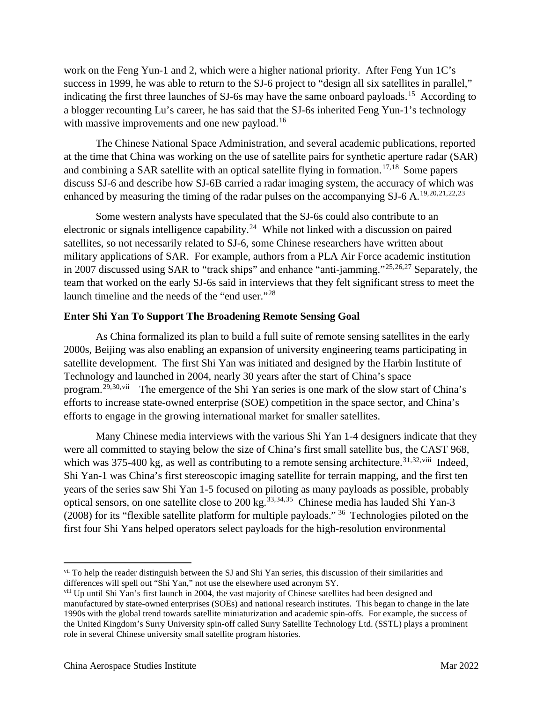work on the Feng Yun-1 and 2, which were a higher national priority. After Feng Yun 1C's success in 1999, he was able to return to the SJ-6 project to "design all six satellites in parallel," indicating the first three launches of SJ-6s may have the same onboard payloads.<sup>[15](#page-10-0)</sup> According to a blogger recounting Lu's career, he has said that the SJ-6s inherited Feng Yun-1's technology with massive improvements and one new payload.<sup>[16](#page-10-1)</sup>

The Chinese National Space Administration, and several academic publications, reported at the time that China was working on the use of satellite pairs for synthetic aperture radar (SAR) and combining a SAR satellite with an optical satellite flying in formation.<sup>[17](#page-10-2),[18](#page-10-3)</sup> Some papers discuss SJ-6 and describe how SJ-6B carried a radar imaging system, the accuracy of which was enhanced by measuring the timing of the radar pulses on the accompanying SJ-6 A.<sup>[19,](#page-10-4)[20,](#page-10-5)[21](#page-10-6),[22,](#page-10-7)[23](#page-10-8)</sup>

Some western analysts have speculated that the SJ-6s could also contribute to an electronic or signals intelligence capability.<sup>24</sup> While not linked with a discussion on paired satellites, so not necessarily related to SJ-6, some Chinese researchers have written about military applications of SAR. For example, authors from a PLA Air Force academic institution in 2007 discussed using SAR to "track ships" and enhance "anti-jamming."[25](#page-10-10),[26,](#page-10-11)[27](#page-10-12) Separately, the team that worked on the early SJ-6s said in interviews that they felt significant stress to meet the launch timeline and the needs of the "end user."<sup>[28](#page-10-13)</sup>

### **Enter Shi Yan To Support The Broadening Remote Sensing Goal**

As China formalized its plan to build a full suite of remote sensing satellites in the early 2000s, Beijing was also enabling an expansion of university engineering teams participating in satellite development. The first Shi Yan was initiated and designed by the Harbin Institute of Technology and launched in 2004, nearly 30 years after the start of China's space program.[29](#page-10-14),[30,](#page-10-15)[vii](#page-4-0) The emergence of the Shi Yan series is one mark of the slow start of China's efforts to increase state-owned enterprise (SOE) competition in the space sector, and China's efforts to engage in the growing international market for smaller satellites.

Many Chinese media interviews with the various Shi Yan 1-4 designers indicate that they were all committed to staying below the size of China's first small satellite bus, the CAST 968, which was  $375-400$  kg, as well as contributing to a remote sensing architecture.<sup>[31,](#page-10-16)[32](#page-10-17),[viii](#page-4-1)</sup> Indeed, Shi Yan-1 was China's first stereoscopic imaging satellite for terrain mapping, and the first ten years of the series saw Shi Yan 1-5 focused on piloting as many payloads as possible, probably optical sensors, on one satellite close to 200 kg.<sup>[33](#page-10-18),[34,](#page-10-19)35</sup> Chinese media has lauded Shi Yan-3 (2008) for its "flexible satellite platform for multiple payloads." [36](#page-10-21) Technologies piloted on the first four Shi Yans helped operators select payloads for the high-resolution environmental

<span id="page-4-0"></span>vii To help the reader distinguish between the SJ and Shi Yan series, this discussion of their similarities and differences will spell out "Shi Yan," not use the elsewhere used acronym SY.

<span id="page-4-1"></span>viii Up until Shi Yan's first launch in 2004, the vast majority of Chinese satellites had been designed and manufactured by state-owned enterprises (SOEs) and national research institutes. This began to change in the late 1990s with the global trend towards satellite miniaturization and academic spin-offs. For example, the success of the United Kingdom's Surry University spin-off called Surry Satellite Technology Ltd. (SSTL) plays a prominent role in several Chinese university small satellite program histories.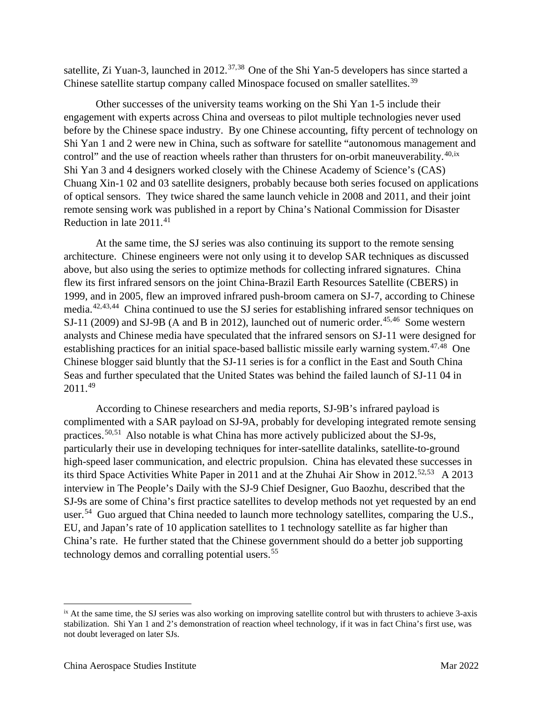satellite, Zi Yuan-3, launched in 2012.<sup>[37](#page-10-22),38</sup> One of the Shi Yan-5 developers has since started a Chinese satellite startup company called Minospace focused on smaller satellites.<sup>[39](#page-10-24)</sup>

Other successes of the university teams working on the Shi Yan 1-5 include their engagement with experts across China and overseas to pilot multiple technologies never used before by the Chinese space industry. By one Chinese accounting, fifty percent of technology on Shi Yan 1 and 2 were new in China, such as software for satellite "autonomous management and control" and the use of reaction wheels rather than thrusters for on-orbit maneuverability. $40, ix$  $40, ix$  $40, ix$ Shi Yan 3 and 4 designers worked closely with the Chinese Academy of Science's (CAS) Chuang Xin-1 02 and 03 satellite designers, probably because both series focused on applications of optical sensors. They twice shared the same launch vehicle in 2008 and 2011, and their joint remote sensing work was published in a report by China's National Commission for Disaster Reduction in late 2011. [41](#page-10-26) 

At the same time, the SJ series was also continuing its support to the remote sensing architecture. Chinese engineers were not only using it to develop SAR techniques as discussed above, but also using the series to optimize methods for collecting infrared signatures. China flew its first infrared sensors on the joint China-Brazil Earth Resources Satellite (CBERS) in 1999, and in 2005, flew an improved infrared push-broom camera on SJ-7, according to Chinese media.[42](#page-10-27),[43,](#page-10-28)[44](#page-10-29) China continued to use the SJ series for establishing infrared sensor techniques on SJ-11 (2009) and SJ-9B (A and B in 2012), launched out of numeric order.<sup>[45](#page-10-30),46</sup> Some western analysts and Chinese media have speculated that the infrared sensors on SJ-11 were designed for establishing practices for an initial space-based ballistic missile early warning system.<sup>[47,](#page-10-32)[48](#page-10-33)</sup> One Chinese blogger said bluntly that the SJ-11 series is for a conflict in the East and South China Seas and further speculated that the United States was behind the failed launch of SJ-11 04 in 2011.[49](#page-10-34)

According to Chinese researchers and media reports, SJ-9B's infrared payload is complimented with a SAR payload on SJ-9A, probably for developing integrated remote sensing practices.[50](#page-10-35),[51](#page-10-36) Also notable is what China has more actively publicized about the SJ-9s, particularly their use in developing techniques for inter-satellite datalinks, satellite-to-ground high-speed laser communication, and electric propulsion. China has elevated these successes in its third Space Activities White Paper in 2011 and at the Zhuhai Air Show in 2012.<sup>[52](#page-10-37),[53](#page-10-38)</sup> A 2013 interview in The People's Daily with the SJ-9 Chief Designer, Guo Baozhu, described that the SJ-9s are some of China's first practice satellites to develop methods not yet requested by an end user.<sup>54</sup> Guo argued that China needed to launch more technology satellites, comparing the U.S., EU, and Japan's rate of 10 application satellites to 1 technology satellite as far higher than China's rate. He further stated that the Chinese government should do a better job supporting technology demos and corralling potential users.  $55$ 

<span id="page-5-0"></span>ix At the same time, the SJ series was also working on improving satellite control but with thrusters to achieve 3-axis stabilization. Shi Yan 1 and 2's demonstration of reaction wheel technology, if it was in fact China's first use, was not doubt leveraged on later SJs.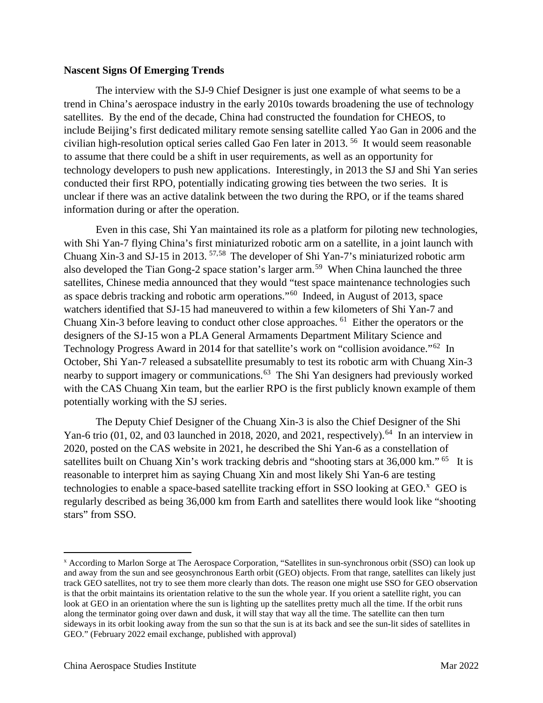### **Nascent Signs Of Emerging Trends**

The interview with the SJ-9 Chief Designer is just one example of what seems to be a trend in China's aerospace industry in the early 2010s towards broadening the use of technology satellites. By the end of the decade, China had constructed the foundation for CHEOS, to include Beijing's first dedicated military remote sensing satellite called Yao Gan in 2006 and the civilian high-resolution optical series called Gao Fen later in 2013. [56](#page-10-40) It would seem reasonable to assume that there could be a shift in user requirements, as well as an opportunity for technology developers to push new applications. Interestingly, in 2013 the SJ and Shi Yan series conducted their first RPO, potentially indicating growing ties between the two series. It is unclear if there was an active datalink between the two during the RPO, or if the teams shared information during or after the operation.

Even in this case, Shi Yan maintained its role as a platform for piloting new technologies, with Shi Yan-7 flying China's first miniaturized robotic arm on a satellite, in a joint launch with Chuang Xin-3 and SJ-15 in 2013. [57](#page-10-41),[58](#page-10-42) The developer of Shi Yan-7's miniaturized robotic arm also developed the Tian Gong-2 space station's larger arm.<sup>59</sup> When China launched the three satellites, Chinese media announced that they would "test space maintenance technologies such as space debris tracking and robotic arm operations."[60](#page-10-44) Indeed, in August of 2013, space watchers identified that SJ-15 had maneuvered to within a few kilometers of Shi Yan-7 and Chuang Xin-3 before leaving to conduct other close approaches. <sup>61</sup> Either the operators or the designers of the SJ-15 won a PLA General Armaments Department Military Science and Technology Progress Award in 2014 for that satellite's work on "collision avoidance."<sup>62</sup> In October, Shi Yan-7 released a subsatellite presumably to test its robotic arm with Chuang Xin-3 nearby to support imagery or communications.<sup>[63](#page-10-47)</sup> The Shi Yan designers had previously worked with the CAS Chuang Xin team, but the earlier RPO is the first publicly known example of them potentially working with the SJ series.

The Deputy Chief Designer of the Chuang Xin-3 is also the Chief Designer of the Shi Yan-6 trio (01, 02, and 03 launched in 2018, 2020, and 2021, respectively).<sup>64</sup> In an interview in 2020, posted on the CAS website in 2021, he described the Shi Yan-6 as a constellation of satellites built on Chuang Xin's work tracking debris and "shooting stars at  $36,000$  km." <sup>[65](#page-10-20)</sup> It is reasonable to interpret him as saying Chuang Xin and most likely Shi Yan-6 are testing technologies to enable a space-based satellite tracking effort in SSO looking at GEO. $^x$  $^x$  GEO is regularly described as being 36,000 km from Earth and satellites there would look like "shooting stars" from SSO.

<span id="page-6-0"></span><sup>x</sup> According to Marlon Sorge at The Aerospace Corporation, "Satellites in sun-synchronous orbit (SSO) can look up and away from the sun and see geosynchronous Earth orbit (GEO) objects. From that range, satellites can likely just track GEO satellites, not try to see them more clearly than dots. The reason one might use SSO for GEO observation is that the orbit maintains its orientation relative to the sun the whole year. If you orient a satellite right, you can look at GEO in an orientation where the sun is lighting up the satellites pretty much all the time. If the orbit runs along the terminator going over dawn and dusk, it will stay that way all the time. The satellite can then turn sideways in its orbit looking away from the sun so that the sun is at its back and see the sun-lit sides of satellites in GEO." (February 2022 email exchange, published with approval)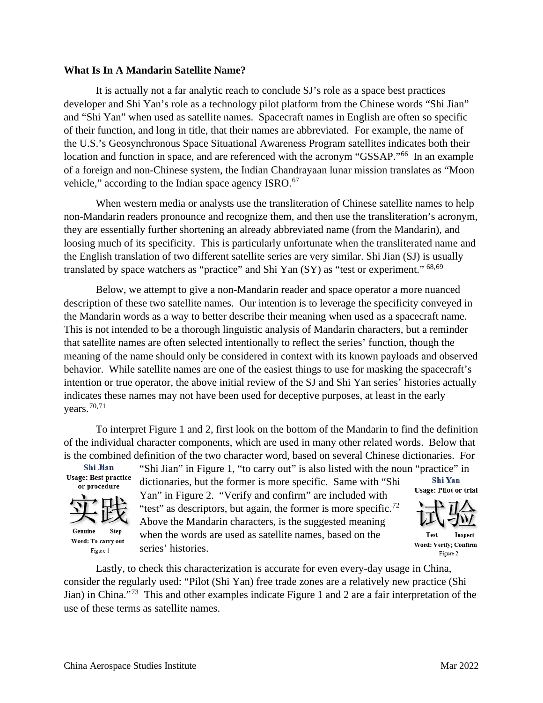#### **What Is In A Mandarin Satellite Name?**

It is actually not a far analytic reach to conclude SJ's role as a space best practices developer and Shi Yan's role as a technology pilot platform from the Chinese words "Shi Jian" and "Shi Yan" when used as satellite names. Spacecraft names in English are often so specific of their function, and long in title, that their names are abbreviated. For example, the name of the U.S.'s Geosynchronous Space Situational Awareness Program satellites indicates both their location and function in space, and are referenced with the acronym "GSSAP."<sup>[66](#page-10-49)</sup> In an example of a foreign and non-Chinese system, the Indian Chandrayaan lunar mission translates as "Moon vehicle," according to the Indian space agency ISRO.<sup>67</sup>

When western media or analysts use the transliteration of Chinese satellite names to help non-Mandarin readers pronounce and recognize them, and then use the transliteration's acronym, they are essentially further shortening an already abbreviated name (from the Mandarin), and loosing much of its specificity. This is particularly unfortunate when the transliterated name and the English translation of two different satellite series are very similar. Shi Jian (SJ) is usually translated by space watchers as "practice" and Shi Yan (SY) as "test or experiment." [68](#page-10-51),69

Below, we attempt to give a non-Mandarin reader and space operator a more nuanced description of these two satellite names. Our intention is to leverage the specificity conveyed in the Mandarin words as a way to better describe their meaning when used as a spacecraft name. This is not intended to be a thorough linguistic analysis of Mandarin characters, but a reminder that satellite names are often selected intentionally to reflect the series' function, though the meaning of the name should only be considered in context with its known payloads and observed behavior. While satellite names are one of the easiest things to use for masking the spacecraft's intention or true operator, the above initial review of the SJ and Shi Yan series' histories actually indicates these names may not have been used for deceptive purposes, at least in the early vears. $70,71$  $70,71$ 

To interpret Figure 1 and 2, first look on the bottom of the Mandarin to find the definition of the individual character components, which are used in many other related words. Below that is the combined definition of the two character word, based on several Chinese dictionaries. For

> Yan" in Figure 2. "Verify and confirm" are included with "test" as descriptors, but again, the former is more specific.<sup>72</sup> Above the Mandarin characters, is the suggested meaning when the words are used as satellite names, based on the

**Shi Jian Usage: Best practice** or procedure



Genuine Sten Word: To carry out Figure 1

"Shi Jian" in Figure 1, "to carry out" is also listed with the noun "practice" in dictionaries but the former is more specific. Same with "Shi Shi Yan" dictionaries, but the former is more specific. Same with "Shi

**Usage: Pilot or trial** 



Test Word: Verify: Confirm Figure 2

Lastly, to check this characterization is accurate for even every-day usage in China, consider the regularly used: "Pilot (Shi Yan) free trade zones are a relatively new practice (Shi Jian) in China."[73](#page-10-56) This and other examples indicate Figure 1 and 2 are a fair interpretation of the use of these terms as satellite names.

series' histories.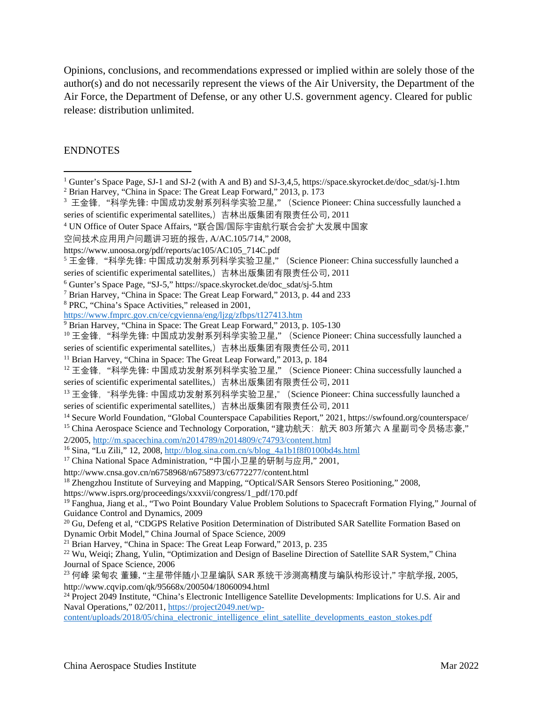Opinions, conclusions, and recommendations expressed or implied within are solely those of the author(s) and do not necessarily represent the views of the Air University, the Department of the Air Force, the Department of Defense, or any other U.S. government agency. Cleared for public release: distribution unlimited.

#### ENDNOTES

https://www.isprs.org/proceedings/xxxvii/congress/1\_pdf/170.pdf

<sup>22</sup> Wu, Weiqi; Zhang, Yulin, "Optimization and Design of Baseline Direction of Satellite SAR System," China Journal of Space Science, 2006

<sup>&</sup>lt;sup>1</sup> Gunter's Space Page, SJ-1 and SJ-2 (with A and B) and SJ-3,4,5, https://space.skyrocket.de/doc\_sdat/sj-1.htm

<span id="page-8-0"></span><sup>2</sup> Brian Harvey, "China in Space: The Great Leap Forward," 2013, p. 173

<sup>&</sup>lt;sup>3</sup> 王金锋,"科学先锋: 中国成功发射系列科学实验卫星," (Science Pioneer: China successfully launched a series of scientific experimental satellites,)吉林出版集团有限责任公司, 2011

<sup>4</sup> UN Office of Outer Space Affairs, "联合国/国际宇宙航行联合会扩大发展中国家

空间技术应用用户问题讲习班的报告, A/AC.105/714," 2008,

https://www.unoosa.org/pdf/reports/ac105/AC105\_714C.pdf

<sup>&</sup>lt;sup>5</sup> 王金锋, "科学先锋: 中国成功发射系列科学实验卫星," (Science Pioneer: China successfully launched a series of scientific experimental satellites,)吉林出版集团有限责任公司, 2011

<sup>6</sup> Gunter's Space Page, "SJ-5," https://space.skyrocket.de/doc\_sdat/sj-5.htm

<sup>7</sup> Brian Harvey, "China in Space: The Great Leap Forward," 2013, p. 44 and 233

<sup>&</sup>lt;sup>8</sup> PRC, "China's Space Activities," released in 2001,<br>https://www.fmprc.gov.cn/ce/cgvienna/eng/ljzg/zfbps/t127413.htm

<sup>&</sup>lt;sup>9</sup> Brian Harvey, "China in Space: The Great Leap Forward," 2013, p. 105-130

<sup>&</sup>lt;sup>10</sup> 王金锋, "科学先锋: 中国成功发射系列科学实验卫星," (Science Pioneer: China successfully launched a

series of scientific experimental satellites,)吉林出版集团有限责任公司, 2011

<sup>&</sup>lt;sup>11</sup> Brian Harvey, "China in Space: The Great Leap Forward," 2013, p. 184

<sup>&</sup>lt;sup>12</sup> 王金锋, "科学先锋: 中国成功发射系列科学实验卫星," (Science Pioneer: China successfully launched a series of scientific experimental satellites,)吉林出版集团有限责任公司, 2011

<sup>&</sup>lt;sup>13</sup> 王金锋, "科学先锋: 中国成功发射系列科学实验卫星," (Science Pioneer: China successfully launched a series of scientific experimental satellites,)吉林出版集团有限责任公司, 2011

<sup>14</sup> Secure World Foundation, "Global Counterspace Capabilities Report," 2021, https://swfound.org/counterspace/ <sup>15</sup> China Aerospace Science and Technology Corporation, "建功航天: 航天 803 所第六 A 星副司令员杨志豪,"

<sup>2/2005,</sup><http://m.spacechina.com/n2014789/n2014809/c74793/content.html>

<sup>16</sup> Sina, "Lu Zili," 12, 2008[, http://blog.sina.com.cn/s/blog\\_4a1b1f8f0100bd4s.html](http://blog.sina.com.cn/s/blog_4a1b1f8f0100bd4s.html)

<sup>17</sup> China National Space Administration, "中国小卫星的研制与应用," 2001,

http://www.cnsa.gov.cn/n6758968/n6758973/c6772277/content.html

<sup>&</sup>lt;sup>18</sup> Zhengzhou Institute of Surveying and Mapping, "Optical/SAR Sensors Stereo Positioning," 2008,

<sup>&</sup>lt;sup>19</sup> Fanghua, Jiang et al., "Two Point Boundary Value Problem Solutions to Spacecraft Formation Flying," Journal of Guidance Control and Dynamics, 2009

<sup>&</sup>lt;sup>20</sup> Gu, Defeng et al, "CDGPS Relative Position Determination of Distributed SAR Satellite Formation Based on Dynamic Orbit Model," China Journal of Space Science, 2009

<sup>&</sup>lt;sup>21</sup> Brian Harvey, "China in Space: The Great Leap Forward," 2013, p. 235

<sup>23</sup> 何峰 梁甸农 董臻, "主星带伴随小卫星编队 SAR 系统干涉测高精度与编队构形设计," 宇航学报, 2005, http://www.cqvip.com/qk/95668x/200504/18060094.html

<sup>&</sup>lt;sup>24</sup> Project 2049 Institute, "China's Electronic Intelligence Satellite Developments: Implications for U.S. Air and Naval Operations," 02/2011[, https://project2049.net/wp-](https://project2049.net/wp-content/uploads/2018/05/china_electronic_intelligence_elint_satellite_developments_easton_stokes.pdf)

[content/uploads/2018/05/china\\_electronic\\_intelligence\\_elint\\_satellite\\_developments\\_easton\\_stokes.pdf](https://project2049.net/wp-content/uploads/2018/05/china_electronic_intelligence_elint_satellite_developments_easton_stokes.pdf)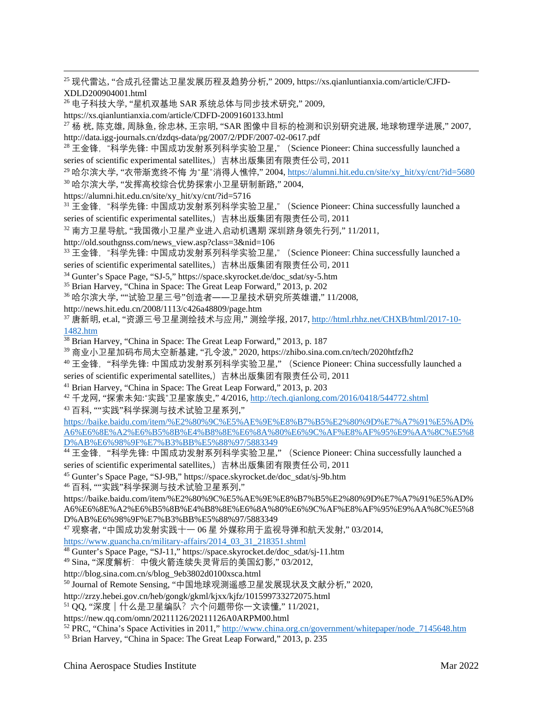<sup>25</sup> 现代雷达, "合成孔径雷达卫星发展历程及趋势分析," 2009, https://xs.qianluntianxia.com/article/CJFD-XDLD200904001.html

<sup>26</sup> 电子科技大学, "星机双基地 SAR 系统总体与同步技术研究," 2009,

https://xs.qianluntianxia.com/article/CDFD-2009160133.html

 $^{27}$  杨 桄, 陈克雄, 周脉鱼, 徐忠林, 王宗明, "SAR 图像中目标的检测和识别研究进展, 地球物理学进展," 2007, http://data.igg-journals.cn/dzdqs-data/pg/2007/2/PDF/2007-02-0617.pdf

<sup>28</sup> 王金锋, "科学先锋: 中国成功发射系列科学实验卫星," (Science Pioneer: China successfully launched a series of scientific experimental satellites,)吉林出版集团有限责任公司, 2011

<sup>29</sup> 哈尔滨大学, "衣带渐宽终不悔 为"星"消得人憔悴," 2004[, https://alumni.hit.edu.cn/site/xy\\_hit/xy/cnt/?id=5680](https://alumni.hit.edu.cn/site/xy_hit/xy/cnt/?id=5680)

<sup>30</sup> 哈尔滨大学, "发挥高校综合优势探索小卫星研制新路," 2004,

<span id="page-9-0"></span>https://alumni.hit.edu.cn/site/xy\_hit/xy/cnt/?id=5716

<span id="page-9-1"></span><sup>31</sup> 王金锋, "科学先锋: 中国成功发射系列科学实验卫星," (Science Pioneer: China successfully launched a series of scientific experimental satellites,)吉林出版集团有限责任公司, 2011

<span id="page-9-2"></span><sup>32</sup> 南方卫星导航, "我国微小卫星产业进入启动机遇期 深圳跻身领先行列," 11/2011,

http://old.southgnss.com/news\_view.asp?class=3&nid=106

<span id="page-9-3"></span><sup>33</sup> 王金锋,"科学先锋: 中国成功发射系列科学实验卫星," (Science Pioneer: China successfully launched a series of scientific experimental satellites,)吉林出版集团有限责任公司, 2011

<sup>34</sup> Gunter's Space Page, "SJ-5," https://space.skyrocket.de/doc\_sdat/sy-5.htm

<span id="page-9-4"></span><sup>35</sup> Brian Harvey, "China in Space: The Great Leap Forward," 2013, p. 202

<span id="page-9-5"></span><sup>36</sup> 哈尔滨大学, ""试验卫星三号"创造者――卫星技术研究所英雄谱," 11/2008,

<span id="page-9-6"></span>http://news.hit.edu.cn/2008/1113/c426a48809/page.htm

<span id="page-9-7"></span> $37$  唐新明, et.al, "资源三号卫星测绘技术与应用," 测绘学报, 2017, [http://html.rhhz.net/CHXB/html/2017-10-](http://html.rhhz.net/CHXB/html/2017-10-1482.htm) [1482.htm](http://html.rhhz.net/CHXB/html/2017-10-1482.htm)

<span id="page-9-8"></span><sup>38</sup> Brian Harvey, "China in Space: The Great Leap Forward," 2013, p. 187

<sup>39</sup> 商业小卫星加码布局太空新基建, "孔令波," 2020, https://zhibo.sina.com.cn/tech/2020htfzfh2

<span id="page-9-10"></span><span id="page-9-9"></span><sup>40</sup> 王金锋, "科学先锋: 中国成功发射系列科学实验卫星," (Science Pioneer: China successfully launched a series of scientific experimental satellites,)吉林出版集团有限责任公司, 2011

<sup>41</sup> Brian Harvey, "China in Space: The Great Leap Forward," 2013, p. 203

<span id="page-9-11"></span><sup>42</sup> 千龙网, "探索未知:"实践"卫星家族史," 4/2016[, http://tech.qianlong.com/2016/0418/544772.shtml](http://tech.qianlong.com/2016/0418/544772.shtml)

<sup>43</sup> 百科, ""实践"科学探测与技术试验卫星系列,"

<span id="page-9-12"></span>[https://baike.baidu.com/item/%E2%80%9C%E5%AE%9E%E8%B7%B5%E2%80%9D%E7%A7%91%E5%AD%](https://baike.baidu.com/item/%E2%80%9C%E5%AE%9E%E8%B7%B5%E2%80%9D%E7%A7%91%E5%AD%A6%E6%8E%A2%E6%B5%8B%E4%B8%8E%E6%8A%80%E6%9C%AF%E8%AF%95%E9%AA%8C%E5%8D%AB%E6%98%9F%E7%B3%BB%E5%88%97/5883349) [A6%E6%8E%A2%E6%B5%8B%E4%B8%8E%E6%8A%80%E6%9C%AF%E8%AF%95%E9%AA%8C%E5%8](https://baike.baidu.com/item/%E2%80%9C%E5%AE%9E%E8%B7%B5%E2%80%9D%E7%A7%91%E5%AD%A6%E6%8E%A2%E6%B5%8B%E4%B8%8E%E6%8A%80%E6%9C%AF%E8%AF%95%E9%AA%8C%E5%8D%AB%E6%98%9F%E7%B3%BB%E5%88%97/5883349) [D%AB%E6%98%9F%E7%B3%BB%E5%88%97/5883349](https://baike.baidu.com/item/%E2%80%9C%E5%AE%9E%E8%B7%B5%E2%80%9D%E7%A7%91%E5%AD%A6%E6%8E%A2%E6%B5%8B%E4%B8%8E%E6%8A%80%E6%9C%AF%E8%AF%95%E9%AA%8C%E5%8D%AB%E6%98%9F%E7%B3%BB%E5%88%97/5883349)

<sup>44</sup> 王金锋, "科学先锋: 中国成功发射系列科学实验卫星," (Science Pioneer: China successfully launched a series of scientific experimental satellites,)吉林出版集团有限责任公司, 2011

<sup>45</sup> Gunter's Space Page, "SJ-9B," https://space.skyrocket.de/doc\_sdat/sj-9b.htm

<sup>46</sup> 百科, ""实践"科学探测与技术试验卫星系列,"

https://baike.baidu.com/item/%E2%80%9C%E5%AE%9E%E8%B7%B5%E2%80%9D%E7%A7%91%E5%AD% A6%E6%8E%A2%E6%B5%8B%E4%B8%8E%E6%8A%80%E6%9C%AF%E8%AF%95%E9%AA%8C%E5%8 D%AB%E6%98%9F%E7%B3%BB%E5%88%97/5883349

<sup>47</sup> 观察者, "中国成功发射实践十一 06 星 外媒称用于监视导弹和航天发射," 03/2014,

[https://www.guancha.cn/military-affairs/2014\\_03\\_31\\_218351.shtml](https://www.guancha.cn/military-affairs/2014_03_31_218351.shtml)

<sup>48</sup> Gunter's Space Page, "SJ-11," https://space.skyrocket.de/doc\_sdat/sj-11.htm

<sup>49</sup> Sina, "深度解析:中俄火箭连续失灵背后的美国幻影," 03/2012,

http://blog.sina.com.cn/s/blog\_9eb3802d0100xsca.html

<sup>50</sup> Journal of Remote Sensing, "中国地球观测遥感卫星发展现状及文献分析," 2020,

http://zrzy.hebei.gov.cn/heb/gongk/gkml/kjxx/kjfz/101599733272075.html

51 QQ, "深度 | 什么是卫星编队? 六个问题带你一文读懂," 11/2021,

https://new.qq.com/omn/20211126/20211126A0ARPM00.html

<sup>52</sup> PRC, "China's Space Activities in 2011,[" http://www.china.org.cn/government/whitepaper/node\\_7145648.htm](http://www.china.org.cn/government/whitepaper/node_7145648.htm)

<sup>53</sup> Brian Harvey, "China in Space: The Great Leap Forward," 2013, p. 235